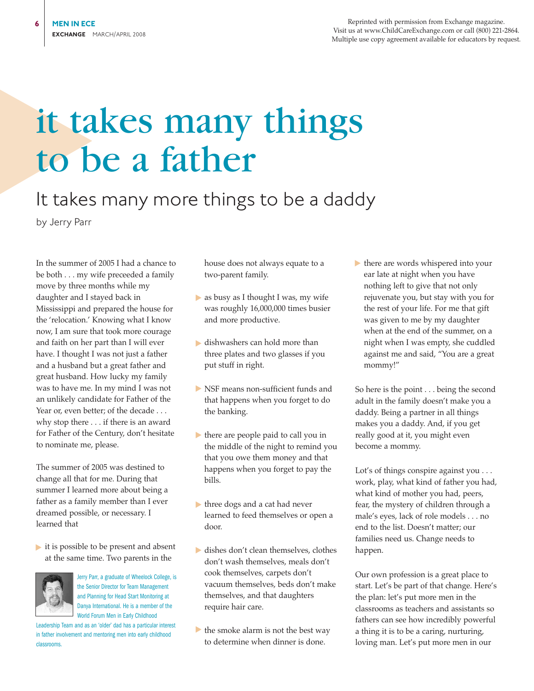Reprinted with permission from Exchange magazine. Visit us at www.ChildCareExchange.com or call (800) 221-2864. Multiple use copy agreement available for educators by request.

## it takes many things to be a father

## It takes many more things to be a daddy

by Jerry Parr

In the summer of 2005 I had a chance to be both . . . my wife preceeded a family move by three months while my daughter and I stayed back in Mississippi and prepared the house for the 'relocation.' Knowing what I know now, I am sure that took more courage and faith on her part than I will ever have. I thought I was not just a father and a husband but a great father and great husband. How lucky my family was to have me. In my mind I was not an unlikely candidate for Father of the Year or, even better; of the decade . . . why stop there . . . if there is an award for Father of the Century, don't hesitate to nominate me, please.

The summer of 2005 was destined to change all that for me. During that summer I learned more about being a father as a family member than I ever dreamed possible, or necessary. I learned that

► it is possible to be present and absent at the same time. Two parents in the



Jerry Parr, a graduate of Wheelock College, is the Senior Director for Team Management and Planning for Head Start Monitoring at Danya International. He is a member of the World Forum Men in Early Childhood

Leadership Team and as an 'older' dad has a particular interest in father involvement and mentoring men into early childhood classrooms.

house does not always equate to a two-parent family.

- $\blacktriangleright$  as busy as I thought I was, my wife was roughly 16,000,000 times busier and more productive.
- ▶ dishwashers can hold more than three plates and two glasses if you put stuff in right.
- ▶ NSF means non-sufficient funds and that happens when you forget to do the banking.
- $\blacktriangleright$  there are people paid to call you in the middle of the night to remind you that you owe them money and that happens when you forget to pay the bills.
- $\blacktriangleright$  three dogs and a cat had never learned to feed themselves or open a door.
- ► dishes don't clean themselves, clothes don't wash themselves, meals don't cook themselves, carpets don't vacuum themselves, beds don't make themselves, and that daughters require hair care.
- ▶ the smoke alarm is not the best way to determine when dinner is done.

► there are words whispered into your ear late at night when you have nothing left to give that not only rejuvenate you, but stay with you for the rest of your life. For me that gift was given to me by my daughter when at the end of the summer, on a night when I was empty, she cuddled against me and said, "You are a great mommy!"

So here is the point . . . being the second adult in the family doesn't make you a daddy. Being a partner in all things makes you a daddy. And, if you get really good at it, you might even become a mommy.

Lot's of things conspire against you . . . work, play, what kind of father you had, what kind of mother you had, peers, fear, the mystery of children through a male's eyes, lack of role models . . . no end to the list. Doesn't matter; our families need us. Change needs to happen.

Our own profession is a great place to start. Let's be part of that change. Here's the plan: let's put more men in the classrooms as teachers and assistants so fathers can see how incredibly powerful a thing it is to be a caring, nurturing, loving man. Let's put more men in our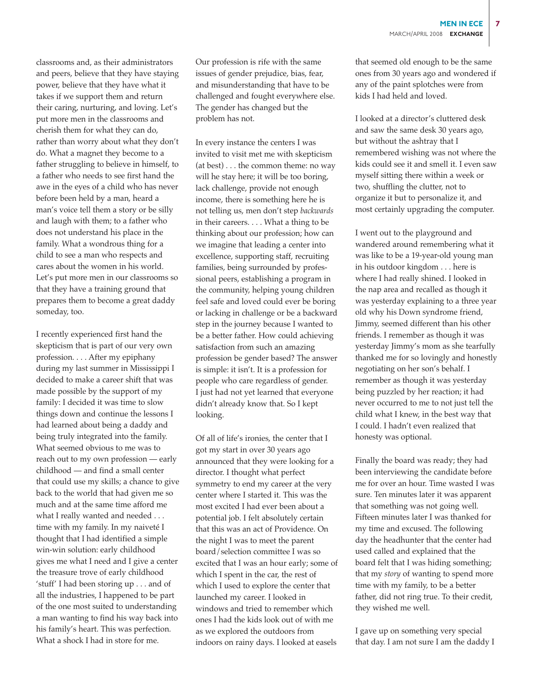classrooms and, as their administrators and peers, believe that they have staying power, believe that they have what it takes if we support them and return their caring, nurturing, and loving. Let's put more men in the classrooms and cherish them for what they can do, rather than worry about what they don't do. What a magnet they become to a father struggling to believe in himself, to a father who needs to see first hand the awe in the eyes of a child who has never before been held by a man, heard a man's voice tell them a story or be silly and laugh with them; to a father who does not understand his place in the family. What a wondrous thing for a child to see a man who respects and cares about the women in his world. Let's put more men in our classrooms so that they have a training ground that prepares them to become a great daddy someday, too.

I recently experienced first hand the skepticism that is part of our very own profession. . . . After my epiphany during my last summer in Mississippi I decided to make a career shift that was made possible by the support of my family: I decided it was time to slow things down and continue the lessons I had learned about being a daddy and being truly integrated into the family. What seemed obvious to me was to reach out to my own profession — early childhood — and find a small center that could use my skills; a chance to give back to the world that had given me so much and at the same time afford me what I really wanted and needed . . . time with my family. In my naiveté I thought that I had identified a simple win-win solution: early childhood gives me what I need and I give a center the treasure trove of early childhood 'stuff' I had been storing up . . . and of all the industries, I happened to be part of the one most suited to understanding a man wanting to find his way back into his family's heart. This was perfection. What a shock I had in store for me.

Our profession is rife with the same issues of gender prejudice, bias, fear, and misunderstanding that have to be challenged and fought everywhere else. The gender has changed but the problem has not.

In every instance the centers I was invited to visit met me with skepticism (at best) . . . the common theme: no way will he stay here; it will be too boring, lack challenge, provide not enough income, there is something here he is not telling us, men don't step *backwards* in their careers. . . . What a thing to be thinking about our profession; how can we imagine that leading a center into excellence, supporting staff, recruiting families, being surrounded by professional peers, establishing a program in the community, helping young children feel safe and loved could ever be boring or lacking in challenge or be a backward step in the journey because I wanted to be a better father. How could achieving satisfaction from such an amazing profession be gender based? The answer is simple: it isn't. It is a profession for people who care regardless of gender. I just had not yet learned that everyone didn't already know that. So I kept looking.

Of all of life's ironies, the center that I got my start in over 30 years ago announced that they were looking for a director. I thought what perfect symmetry to end my career at the very center where I started it. This was the most excited I had ever been about a potential job. I felt absolutely certain that this was an act of Providence. On the night I was to meet the parent board/selection committee I was so excited that I was an hour early; some of which I spent in the car, the rest of which I used to explore the center that launched my career. I looked in windows and tried to remember which ones I had the kids look out of with me as we explored the outdoors from indoors on rainy days. I looked at easels

that seemed old enough to be the same ones from 30 years ago and wondered if any of the paint splotches were from kids I had held and loved.

I looked at a director's cluttered desk and saw the same desk 30 years ago, but without the ashtray that I remembered wishing was not where the kids could see it and smell it. I even saw myself sitting there within a week or two, shuffling the clutter, not to organize it but to personalize it, and most certainly upgrading the computer.

I went out to the playground and wandered around remembering what it was like to be a 19-year-old young man in his outdoor kingdom . . . here is where I had really shined. I looked in the nap area and recalled as though it was yesterday explaining to a three year old why his Down syndrome friend, Jimmy, seemed different than his other friends. I remember as though it was yesterday Jimmy's mom as she tearfully thanked me for so lovingly and honestly negotiating on her son's behalf. I remember as though it was yesterday being puzzled by her reaction; it had never occurred to me to not just tell the child what I knew, in the best way that I could. I hadn't even realized that honesty was optional.

Finally the board was ready; they had been interviewing the candidate before me for over an hour. Time wasted I was sure. Ten minutes later it was apparent that something was not going well. Fifteen minutes later I was thanked for my time and excused. The following day the headhunter that the center had used called and explained that the board felt that I was hiding something; that my *story* of wanting to spend more time with my family, to be a better father, did not ring true. To their credit, they wished me well.

I gave up on something very special that day. I am not sure I am the daddy I